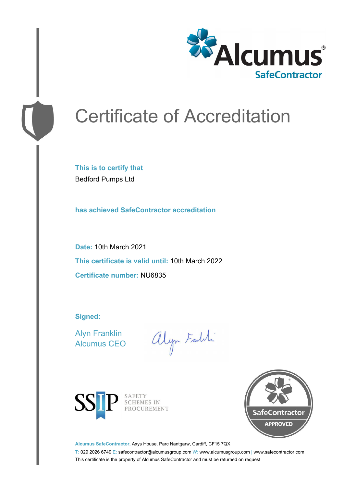

# Certificate of Accreditation

**This is to certify that** Bedford Pumps Ltd

**has achieved SafeContractor accreditation**

**Date:** 10th March 2021 **This certificate is valid until:** 10th March 2022 **Certificate number:** NU6835

**Signed:**

Alyn Franklin Alcumus CEO

alyn Faith



SAFETY SCHEMES IN PROCUREMENT



**Alcumus SafeContractor,** Axys House, Parc Nantgarw, Cardiff, CF15 7QX

T: 029 2026 6749 E: safecontractor@alcumusgroup.com W: www.alcumusgroup.com | www.safecontractor.com This certificate is the property of Alcumus SafeContractor and must be returned on request